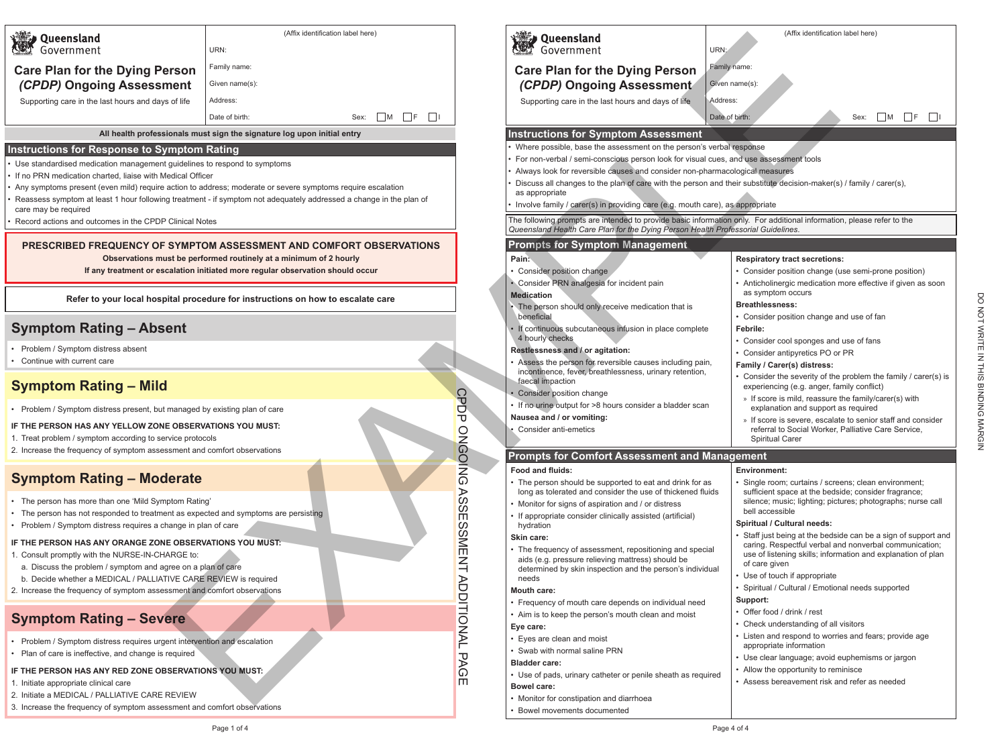DO ZOT WATTE IN THIS BINDING MARGIN DO NOT WRITE IN THIS BINDING MARGIN

- Problem / Symptom distress requires urgent intervention and escalation
- Plan of care is ineffective, and change is required

| <b>Queensland</b>                                                                                                                                                           |                                                                                                                                                     | (Affix identification label here) |
|-----------------------------------------------------------------------------------------------------------------------------------------------------------------------------|-----------------------------------------------------------------------------------------------------------------------------------------------------|-----------------------------------|
| Government                                                                                                                                                                  | URN:                                                                                                                                                |                                   |
| <b>Care Plan for the Dying Person</b>                                                                                                                                       | Family name:                                                                                                                                        |                                   |
| (CPDP) Ongoing Assessment                                                                                                                                                   | Given name(s):                                                                                                                                      |                                   |
| Supporting care in the last hours and days of life                                                                                                                          | Address:                                                                                                                                            |                                   |
|                                                                                                                                                                             | Date of birth:                                                                                                                                      | M<br>F<br>Sex:                    |
|                                                                                                                                                                             | All health professionals must sign the signature log upon initial entry                                                                             |                                   |
| <b>Instructions for Response to Symptom Rating</b>                                                                                                                          |                                                                                                                                                     |                                   |
| • Use standardised medication management guidelines to respond to symptoms                                                                                                  |                                                                                                                                                     |                                   |
| • If no PRN medication charted, liaise with Medical Officer<br>• Any symptoms present (even mild) require action to address; moderate or severe symptoms require escalation |                                                                                                                                                     |                                   |
| • Reassess symptom at least 1 hour following treatment - if symptom not adequately addressed a change in the plan of                                                        |                                                                                                                                                     |                                   |
| care may be required<br>Record actions and outcomes in the CPDP Clinical Notes                                                                                              |                                                                                                                                                     |                                   |
|                                                                                                                                                                             |                                                                                                                                                     |                                   |
| PRESCRIBED FREQUENCY OF SYMPTOM ASSESSMENT AND COMFORT OBSERVATIONS                                                                                                         |                                                                                                                                                     |                                   |
|                                                                                                                                                                             | Observations must be performed routinely at a minimum of 2 hourly<br>If any treatment or escalation initiated more regular observation should occur |                                   |
|                                                                                                                                                                             |                                                                                                                                                     |                                   |
| Refer to your local hospital procedure for instructions on how to escalate care                                                                                             |                                                                                                                                                     |                                   |
| <b>Symptom Rating - Absent</b>                                                                                                                                              |                                                                                                                                                     |                                   |
| Problem / Symptom distress absent                                                                                                                                           |                                                                                                                                                     |                                   |
| Continue with current care                                                                                                                                                  |                                                                                                                                                     |                                   |
| <b>Symptom Rating - Mild</b>                                                                                                                                                |                                                                                                                                                     |                                   |
| Problem / Symptom distress present, but managed by existing plan of care                                                                                                    |                                                                                                                                                     |                                   |
| F THE PERSON HAS ANY YELLOW ZONE OBSERVATIONS YOU MUST:                                                                                                                     |                                                                                                                                                     |                                   |
| 1. Treat problem / symptom according to service protocols                                                                                                                   |                                                                                                                                                     |                                   |
| 2. Increase the frequency of symptom assessment and comfort observations                                                                                                    |                                                                                                                                                     |                                   |
| <b>Symptom Rating - Moderate</b>                                                                                                                                            |                                                                                                                                                     |                                   |
| The person has more than one 'Mild Symptom Rating'                                                                                                                          |                                                                                                                                                     |                                   |
| The person has not responded to treatment as expected and symptoms are persisting                                                                                           |                                                                                                                                                     |                                   |
| Problem / Symptom distress requires a change in plan of care                                                                                                                |                                                                                                                                                     |                                   |
| IF THE PERSON HAS ANY ORANGE ZONE OBSERVATIONS YOU MUST:<br>1. Consult promptly with the NURSE-IN-CHARGE to:                                                                |                                                                                                                                                     |                                   |
| a. Discuss the problem / symptom and agree on a plan of care                                                                                                                |                                                                                                                                                     |                                   |
| b. Decide whether a MEDICAL / PALLIATIVE CARE REVIEW is required                                                                                                            |                                                                                                                                                     |                                   |
| 2. Increase the frequency of symptom assessment and comfort observations                                                                                                    |                                                                                                                                                     |                                   |
| <b>Symptom Rating - Severe</b>                                                                                                                                              |                                                                                                                                                     |                                   |

## **Symptom Rating – Severe**

## **IF THE PERSON HAS ANY RED ZONE OBSERVATIONS YOU MUST:**

- 1. Initiate appropriate clinical care
- 2. Initiate a MEDICAL / PALLIATIVE CARE REVIEW
- 3. Increase the frequency of symptom assessment and comfort observations

|                             | (Affix identification label here)<br>URN:                                                                                                       |                            | <b>Queensland</b><br>Government<br>URN:                                                                                                                                                                | (Affix identification label here)                                                                                      |
|-----------------------------|-------------------------------------------------------------------------------------------------------------------------------------------------|----------------------------|--------------------------------------------------------------------------------------------------------------------------------------------------------------------------------------------------------|------------------------------------------------------------------------------------------------------------------------|
| erson                       | Family name:                                                                                                                                    |                            | <b>Care Plan for the Dying Person</b>                                                                                                                                                                  | Family name:                                                                                                           |
| ment                        | Given name(s):                                                                                                                                  |                            | (CPDP) Ongoing Assessment                                                                                                                                                                              | Given name(s):                                                                                                         |
| s of life                   | Address:                                                                                                                                        |                            | Supporting care in the last hours and days of life                                                                                                                                                     | Address:                                                                                                               |
|                             | Date of birth:<br>l IF<br>$\ $<br>Sex:<br>M                                                                                                     |                            |                                                                                                                                                                                                        | Date of birth:<br>Sex:<br>M<br>- IF                                                                                    |
|                             |                                                                                                                                                 |                            |                                                                                                                                                                                                        |                                                                                                                        |
|                             | sionals must sign the signature log upon initial entry                                                                                          |                            | <b>Instructions for Symptom Assessment</b><br>Where possible, base the assessment on the person's verbal response                                                                                      |                                                                                                                        |
| ymptom Rating               |                                                                                                                                                 |                            | For non-verbal / semi-conscious person look for visual cues, and use assessment tools                                                                                                                  |                                                                                                                        |
| Aedical Officer             | t guidelines to respond to symptoms                                                                                                             |                            | Always look for reversible causes and consider non-pharmacological measures                                                                                                                            |                                                                                                                        |
|                             | action to address; moderate or severe symptoms require escalation<br>ng treatment - if symptom not adequately addressed a change in the plan of |                            | Discuss all changes to the plan of care with the person and their substitute decision-maker(s) / family / carer(s),<br>as appropriate                                                                  |                                                                                                                        |
|                             |                                                                                                                                                 |                            | Involve family / carer(s) in providing care (e.g. mouth care), as appropriate<br>The following prompts are intended to provide basic information only. For additional information, please refer to the |                                                                                                                        |
| <sup>2</sup> Clinical Notes |                                                                                                                                                 |                            | Queensland Health Care Plan for the Dying Person Health Professorial Guidelines.                                                                                                                       |                                                                                                                        |
|                             | <b>SYMPTOM ASSESSMENT AND COMFORT OBSERVATIONS</b>                                                                                              |                            | <b>Prompts for Symptom Management</b>                                                                                                                                                                  |                                                                                                                        |
|                             | ust be performed routinely at a minimum of 2 hourly                                                                                             |                            | Pain:                                                                                                                                                                                                  | <b>Respiratory tract secretions:</b>                                                                                   |
|                             | calation initiated more regular observation should occur                                                                                        |                            | • Consider position change<br>• Consider PRN analgesia for incident pain                                                                                                                               | • Consider position change (use semi-prone position)<br>• Anticholinergic medication more effective if given as soon   |
|                             |                                                                                                                                                 |                            | <b>Medication</b>                                                                                                                                                                                      | as symptom occurs                                                                                                      |
|                             | pital procedure for instructions on how to escalate care                                                                                        |                            | The person should only receive medication that is                                                                                                                                                      | <b>Breathlessness:</b>                                                                                                 |
| ⊧ent                        |                                                                                                                                                 |                            | beneficial                                                                                                                                                                                             | • Consider position change and use of fan<br>Febrile:                                                                  |
|                             |                                                                                                                                                 |                            | • If continuous subcutaneous infusion in place complete<br>4 hourly checks                                                                                                                             | • Consider cool sponges and use of fans                                                                                |
|                             |                                                                                                                                                 |                            | Restlessness and / or agitation:                                                                                                                                                                       | • Consider antipyretics PO or PR                                                                                       |
|                             |                                                                                                                                                 |                            | • Assess the person for reversible causes including pain,<br>incontinence, fever, breathlessness, urinary retention,                                                                                   | Family / Carer(s) distress:                                                                                            |
|                             |                                                                                                                                                 |                            | faecal impaction                                                                                                                                                                                       | • Consider the severity of the problem the family / carer(s) is<br>experiencing (e.g. anger, family conflict)          |
|                             |                                                                                                                                                 | င္ပ                        | • Consider position change                                                                                                                                                                             | » If score is mild, reassure the family/carer(s) with                                                                  |
|                             | managed by existing plan of care                                                                                                                | Ō<br>Ⴎ                     | • If no urine output for >8 hours consider a bladder scan<br>Nausea and / or vomiting:                                                                                                                 | explanation and support as required<br>» If score is severe, escalate to senior staff and consider                     |
|                             | <b>IE OBSERVATIONS YOU MUST:</b>                                                                                                                |                            | Consider anti-emetics                                                                                                                                                                                  | referral to Social Worker, Palliative Care Service,                                                                    |
| ervice protocols            | ssment and comfort observations                                                                                                                 |                            |                                                                                                                                                                                                        | <b>Spiritual Carer</b>                                                                                                 |
|                             |                                                                                                                                                 | ONCOING                    | <b>Prompts for Comfort Assessment and Management</b>                                                                                                                                                   |                                                                                                                        |
| derate                      |                                                                                                                                                 |                            | <b>Food and fluids:</b>                                                                                                                                                                                | <b>Environment:</b><br>· Single room; curtains / screens; clean environment;                                           |
|                             |                                                                                                                                                 | 88                         | • The person should be supported to eat and drink for as<br>long as tolerated and consider the use of thickened fluids                                                                                 | sufficient space at the bedside; consider fragrance;                                                                   |
| nptom Rating'               |                                                                                                                                                 | $\omega$                   | • Monitor for signs of aspiration and / or distress                                                                                                                                                    | silence; music; lighting; pictures; photographs; nurse call<br>bell accessible                                         |
| hange in plan of care       | ent as expected and symptoms are persisting                                                                                                     | $\blacksquare$<br>$\infty$ | • If appropriate consider clinically assisted (artificial)<br>hydration                                                                                                                                | <b>Spiritual / Cultural needs:</b>                                                                                     |
|                             |                                                                                                                                                 |                            | Skin care:                                                                                                                                                                                             | • Staff just being at the bedside can be a sign of support and                                                         |
| <b>IARGE</b> to:            | <b>IE OBSERVATIONS YOU MUST:</b>                                                                                                                | <b>SMENT</b>               | • The frequency of assessment, repositioning and special                                                                                                                                               | caring. Respectful verbal and nonverbal communication;<br>use of listening skills; information and explanation of plan |
| gree on a plan of care      |                                                                                                                                                 |                            | aids (e.g. pressure relieving mattress) should be<br>determined by skin inspection and the person's individual                                                                                         | of care given                                                                                                          |
|                             | TIVE CARE REVIEW is required                                                                                                                    |                            | needs                                                                                                                                                                                                  | • Use of touch if appropriate                                                                                          |
|                             | ssment and comfort observations                                                                                                                 |                            | <b>Mouth care:</b>                                                                                                                                                                                     | • Spiritual / Cultural / Emotional needs supported<br>Support:                                                         |
|                             |                                                                                                                                                 |                            | • Frequency of mouth care depends on individual need<br>• Aim is to keep the person's mouth clean and moist                                                                                            | • Offer food / drink / rest                                                                                            |
| ere                         |                                                                                                                                                 |                            | Eye care:                                                                                                                                                                                              | • Check understanding of all visitors                                                                                  |
|                             | jent intervention and escalation                                                                                                                | <b>ADDITIONAL</b>          | • Eyes are clean and moist                                                                                                                                                                             | • Listen and respond to worries and fears; provide age                                                                 |
| required                    |                                                                                                                                                 |                            | • Swab with normal saline PRN                                                                                                                                                                          | appropriate information<br>• Use clear language; avoid euphemisms or jargon                                            |
|                             | <b>BSERVATIONS YOU MUST:</b>                                                                                                                    | <b>PAG</b>                 | <b>Bladder care:</b>                                                                                                                                                                                   | • Allow the opportunity to reminisce                                                                                   |
|                             |                                                                                                                                                 | m                          | • Use of pads, urinary catheter or penile sheath as required<br><b>Bowel care:</b>                                                                                                                     | • Assess bereavement risk and refer as needed                                                                          |
| <b>REVIEW</b>               |                                                                                                                                                 |                            | • Monitor for constipation and diarrhoea                                                                                                                                                               |                                                                                                                        |
|                             | ssment and comfort observations                                                                                                                 |                            | Bowel movements documented                                                                                                                                                                             |                                                                                                                        |
|                             | Page 1 of 4                                                                                                                                     |                            |                                                                                                                                                                                                        | Page 4 of 4                                                                                                            |

- 
- 
- 
-